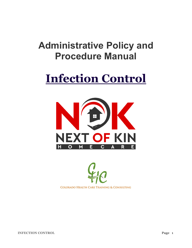## **Administrative Policy and Procedure Manual**

# **Infection Control**



**COLORADO HEALTH CARE TRAINING & CONSULTING** 

**INFECTION CONTROL Page 1**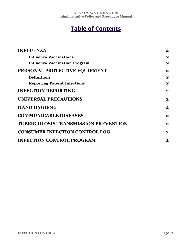## **Table of Contents**

| <b>INFLUENZA</b>                            | $\overline{\mathbf{2}}$ |
|---------------------------------------------|-------------------------|
| <b>Influenza Vaccinations</b>               | $\mathbf{2}$            |
| <b>Influenza Vaccination Program</b>        | $\overline{\mathbf{2}}$ |
| PERSONAL PROTECTIVE EQUIPMENT               | $\mathbf 2$             |
| <b>Definitions</b>                          | $\mathbf 2$             |
| <b>Reporting Patient Infections</b>         | $\mathbf 2$             |
| <b>INFECTION REPORTING</b>                  | $\mathbf 2$             |
| UNIVERSAL PRECAUTIONS                       | $\boldsymbol{2}$        |
| <b>HAND HYGIENE</b>                         | $\boldsymbol{2}$        |
| <b>COMMUNICABLE DISEASES</b>                | $\mathbf 2$             |
| <b>TUBERCULOSIS TRANSMISSION PREVENTION</b> | $\bf{2}$                |
| <b>CONSUMER INFECTION CONTROL LOG</b>       | $\bf{2}$                |
| <b>INFECTION CONTROL PROGRAM</b>            | $\boldsymbol{2}$        |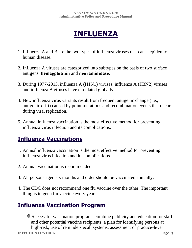## **INFLUENZA**

- 1. Influenza A and B are the two types of influenza viruses that cause epidemic human disease.
- 2. Influenza A viruses are categorized into subtypes on the basis of two surface antigens: **hemagglutinin** and **neuraminidase**.
- 3. During 1977-2013, influenza A (H1N1) viruses, influenza A (H3N2) viruses and influenza B viruses have circulated globally.
- 4. New influenza virus variants result from frequent antigenic change (i.e., antigenic drift) caused by point mutations and recombination events that occur during viral replication.
- 5. Annual influenza vaccination is the most effective method for preventing influenza virus infection and its complications.

## **Influenza Vaccinations**

- 1. Annual influenza vaccination is the most effective method for preventing influenza virus infection and its complications.
- 2. Annual vaccination is recommended.
- 3. All persons aged six months and older should be vaccinated annually.
- 4. The CDC does not recommend one flu vaccine over the other. The important thing is to get a flu vaccine every year.

## **Influenza Vaccination Program**

Successful vaccination programs combine publicity and education for staff and other potential vaccine recipients, a plan for identifying persons at high-risk, use of reminder/recall systems, assessment of practice-level

**INFECTION CONTROL Page 3**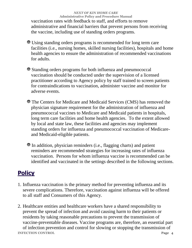*NEXT OF KIN HOME CARE* **Administrative Policy and Procedure Manual**  vaccination rates with feedback to staff, and efforts to remove administrative and financial barriers that prevent persons from receiving the vaccine, including use of standing orders programs.

Using standing orders programs is recommended for long term care facilities (i.e., nursing homes, skilled nursing facilities), hospitals and home health agencies to ensure the administration of recommended vaccinations for adults.

Standing orders programs for both influenza and pneumococcal vaccination should be conducted under the supervision of a licensed practitioner according to Agency policy by staff trained to screen patients for contraindications to vaccination, administer vaccine and monitor for adverse events.

The Centers for Medicare and Medicaid Services (CMS) has removed the physician signature requirement for the administration of influenza and pneumococcal vaccines to Medicare and Medicaid patients in hospitals, long term care facilities and home health agencies. To the extent allowed by local and state law, these facilities and agencies may implement standing orders for influenza and pneumococcal vaccination of Medicareand Medicaid-eligible patients.

In addition, physician reminders (i.e., flagging charts) and patient reminders are recommended strategies for increasing rates of influenza vaccination. Persons for whom influenza vaccine is recommended can be identified and vaccinated in the settings described in the following sections.

### **Policy**

1. Influenza vaccination is the primary method for preventing influenza and its severe complications. Therefore, vaccination against influenza will be offered to all staff and Consumers of this Agency.

2. Healthcare entities and healthcare workers have a shared responsibility to prevent the spread of infection and avoid causing harm to their patients or residents by taking reasonable precautions to prevent the transmission of vaccine-preventable diseases. Vaccine programs are, therefore, an essential part

**INFECTION CONTROL Page 4** of infection prevention and control for slowing or stopping the transmission of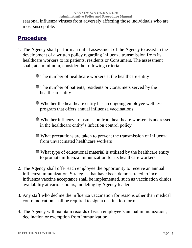*NEXT OF KIN HOME CARE* **Administrative Policy and Procedure Manual**  seasonal influenza viruses from adversely affecting those individuals who are most susceptible.

## **Procedure**

- 1. The Agency shall perform an initial assessment of the Agency to assist in the development of a written policy regarding influenza transmission from its healthcare workers to its patients, residents or Consumers. The assessment shall, at a minimum, consider the following criteria:
	- The number of healthcare workers at the healthcare entity
	- The number of patients, residents or Consumers served by the healthcare entity
	- Whether the healthcare entity has an ongoing employee wellness program that offers annual influenza vaccinations
	- Whether influenza transmission from healthcare workers is addressed in the healthcare entity's infection control policy
	- What precautions are taken to prevent the transmission of influenza from unvaccinated healthcare workers

What type of educational material is utilized by the healthcare entity to promote influenza immunization for its healthcare workers

- 2. The Agency shall offer each employee the opportunity to receive an annual influenza immunization. Strategies that have been demonstrated to increase influenza vaccine acceptance shall be implemented, such as vaccination clinics, availability at various hours, modeling by Agency leaders.
- 3. Any staff who decline the influenza vaccination for reasons other than medical contraindication shall be required to sign a declination form.
- 4. The Agency will maintain records of each employee's annual immunization, declination or exemption from immunization.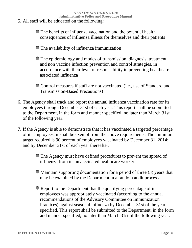- 5. All staff will be educated on the following:
	- The benefits of influenza vaccination and the potential health consequences of influenza illness for themselves and their patients
	- The availability of influenza immunization
	- The epidemiology and modes of transmission, diagnosis, treatment and non vaccine infection prevention and control strategies, in accordance with their level of responsibility in preventing healthcareassociated influenza
	- Control measures if staff are not vaccinated (i.e., use of Standard and Transmission-Based Precautions)
- 6. The Agency shall track and report the annual influenza vaccination rate for its employees through December 31st of each year. This report shall be submitted to the Department, in the form and manner specified, no later than March 31st of the following year.
- 7. If the Agency is able to demonstrate that it has vaccinated a targeted percentage of its employees, it shall be exempt from the above requirements. The minimum target required is 90 percent of employees vaccinated by December 31, 2014; and by December 31st of each year thereafter.
	- The Agency must have defined procedures to prevent the spread of influenza from its unvaccinated healthcare worker.
	- Maintain supporting documentation for a period of three (3) years that may be examined by the Department in a random audit process.
	- Report to the Department that the qualifying percentage of its employees was appropriately vaccinated (according to the annual recommendations of the Advisory Committee on Immunization Practices) against seasonal influenza by December 31st of the year specified. This report shall be submitted to the Department, in the form and manner specified, no later than March 31st of the following year.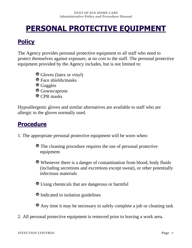## **PERSONAL PROTECTIVE EQUIPMENT**

## **Policy**

The Agency provides personal protective equipment to all staff who need to protect themselves against exposure, at no cost to the staff. The personal protective equipment provided by the Agency includes, but is not limited to:

- Gloves (latex or vinyl)
- Face shields/masks
- **Goggles**
- Gowns/aprons
- CPR masks

Hypoallergenic gloves and similar alternatives are available to staff who are allergic to the gloves normally used.

## **Procedure**

1. The appropriate personal protective equipment will be worn when:

The cleaning procedure requires the use of personal protective equipment

Whenever there is a danger of contamination from blood, body fluids (including secretions and excretions except sweat), or other potentially infectious materials

Using chemicals that are dangerous or harmful

Indicated in isolation guidelines

Any time it may be necessary to safely complete a job or cleaning task

2. All personal protective equipment is removed prior to leaving a work area.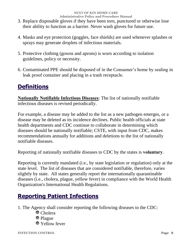- 3. Replace disposable gloves if they have been torn, punctured or otherwise lose their ability to function as a barrier. Never wash gloves for future use.
- 4. Masks and eye protection (goggles, face shields) are used whenever splashes or sprays may generate droplets of infectious materials.
- 5. Protective clothing (gowns and aprons) is worn according to isolation guidelines, policy or necessity.
- 6. Contaminated PPE should be disposed of in the Consumer's home by sealing in leak proof container and placing in a trash receptacle.

## **Definitions**

**Nationally Notifiable Infectious Diseases**: The list of nationally notifiable infectious diseases is revised periodically.

For example, a disease may be added to the list as a new pathogen emerges, or a disease may be deleted as its incidence declines. Public health officials at state health departments and CDC continue to collaborate in determining which diseases should be nationally notifiable; CSTE, with input from CDC, makes recommendations annually for additions and deletions to the list of nationally notifiable diseases.

Reporting of nationally notifiable diseases to CDC by the states is **voluntary**.

Reporting is currently mandated (i.e., by state legislation or regulation) only at the state level. The list of diseases that are considered notifiable, therefore, varies slightly by state. All states generally report the internationally quarantinable diseases (i.e., cholera, plague, yellow fever) in compliance with the World Health Organization's International Health Regulations.

## **Reporting Patient Infections**

- 1. The Agency shall consider reporting the following diseases to the CDC:
	- Cholera
	- Plague
	- Yellow fever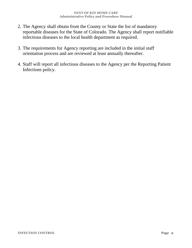- 2. The Agency shall obtain from the County or State the list of mandatory reportable diseases for the State of Colorado. The Agency shall report notifiable infectious diseases to the local health department as required.
- 3. The requirements for Agency reporting are included in the initial staff orientation process and are reviewed at least annually thereafter.
- 4. Staff will report all infectious diseases to the Agency per the Reporting Patient Infections policy.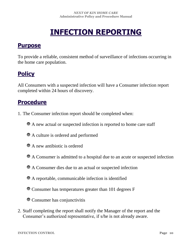## **INFECTION REPORTING**

### **Purpose**

To provide a reliable, consistent method of surveillance of infections occurring in the home care population.

## **Policy**

All Consumers with a suspected infection will have a Consumer infection report completed within 24 hours of discovery.

## **Procedure**

- 1. The Consumer infection report should be completed when:
	- A new actual or suspected infection is reported to home care staff
	- A culture is ordered and performed
	- A new antibiotic is ordered
	- A Consumer is admitted to a hospital due to an acute or suspected infection
	- A Consumer dies due to an actual or suspected infection
	- A reportable, communicable infection is identified
	- Consumer has temperatures greater than 101 degrees F
	- Consumer has conjunctivitis
- 2. Staff completing the report shall notify the Manager of the report and the Consumer's authorized representative, if s/he is not already aware.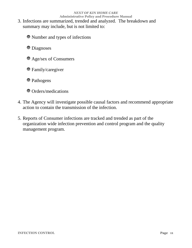- 3. Infections are summarized, trended and analyzed. The breakdown and summary may include, but is not limited to:
	- Number and types of infections
	- **Diagnoses**
	- Age/sex of Consumers
	- Family/caregiver
	- Pathogens
	- $\bullet$  Orders/medications
- 4. The Agency will investigate possible causal factors and recommend appropriate action to contain the transmission of the infection.
- 5. Reports of Consumer infections are tracked and trended as part of the organization wide infection prevention and control program and the quality management program.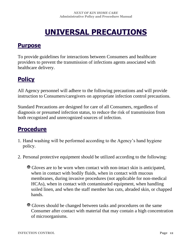## **UNIVERSAL PRECAUTIONS**

### **Purpose**

To provide guidelines for interactions between Consumers and healthcare providers to prevent the transmission of infections agents associated with healthcare delivery.

## **Policy**

All Agency personnel will adhere to the following precautions and will provide instruction to Consumers/caregivers on appropriate infection control precautions.

Standard Precautions are designed for care of all Consumers, regardless of diagnosis or presumed infection status, to reduce the risk of transmission from both recognized and unrecognized sources of infection.

## **Procedure**

- 1. Hand washing will be performed according to the Agency's hand hygiene policy.
- 2. Personal protective equipment should be utilized according to the following:

Gloves are to be worn when contact with non-intact skin is anticipated, when in contact with bodily fluids, when in contact with mucous membranes, during invasive procedures (not applicable for non-medical HCAs), when in contact with contaminated equipment, when handling soiled linen, and when the staff member has cuts, abraded skin, or chapped hands.

Gloves should be changed between tasks and procedures on the same Consumer after contact with material that may contain a high concentration of microorganisms.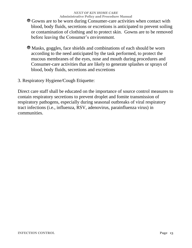- Gowns are to be worn during Consumer-care activities when contact with blood, body fluids, secretions or excretions is anticipated to prevent soiling or contamination of clothing and to protect skin. Gowns are to be removed before leaving the Consumer's environment.
- Masks, goggles, face shields and combinations of each should be worn according to the need anticipated by the task performed, to protect the mucous membranes of the eyes, nose and mouth during procedures and Consumer-care activities that are likely to generate splashes or sprays of blood, body fluids, secretions and excretions

3. Respiratory Hygiene/Cough Etiquette:

Direct care staff shall be educated on the importance of source control measures to contain respiratory secretions to prevent droplet and fomite transmission of respiratory pathogens, especially during seasonal outbreaks of viral respiratory tract infections (i.e., influenza, RSV, adenovirus, parainfluenza virus) in communities.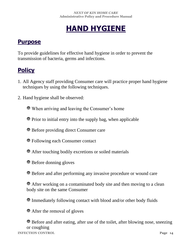## **HAND HYGIENE**

#### **Purpose**

To provide guidelines for effective hand hygiene in order to prevent the transmission of bacteria, germs and infections.

## **Policy**

- 1. All Agency staff providing Consumer care will practice proper hand hygiene techniques by using the following techniques.
- 2. Hand hygiene shall be observed:

When arriving and leaving the Consumer's home

- Prior to initial entry into the supply bag, when applicable
- Before providing direct Consumer care
- Following each Consumer contact
- After touching bodily excretions or soiled materials
- Before donning gloves
- Before and after performing any invasive procedure or wound care
- After working on a contaminated body site and then moving to a clean body site on the same Consumer
- Immediately following contact with blood and/or other body fluids
- After the removal of gloves

**INFECTION CONTROL Page 14** Before and after eating, after use of the toilet, after blowing nose, sneezing or coughing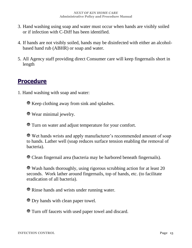- 3. Hand washing using soap and water must occur when hands are visibly soiled or if infection with C-Diff has been identified.
- 4. If hands are not visibly soiled, hands may be disinfected with either an alcoholbased hand rub (ABHR) or soap and water.
- 5. All Agency staff providing direct Consumer care will keep fingernails short in length

### **Procedure**

1. Hand washing with soap and water:

Keep clothing away from sink and splashes.

Wear minimal jewelry.

Turn on water and adjust temperature for your comfort.

Wet hands wrists and apply manufacturer's recommended amount of soap to hands. Lather well (soap reduces surface tension enabling the removal of bacteria).

Clean fingernail area (bacteria may be harbored beneath fingernails).

Wash hands thoroughly, using rigorous scrubbing action for at least 20 seconds. Work lather around fingernails, top of hands, etc. (to facilitate eradication of all bacteria).

Rinse hands and wrists under running water.

Dry hands with clean paper towel.

Turn off faucets with used paper towel and discard.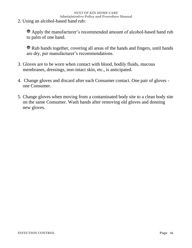2. Using an alcohol-based hand rub:

Apply the manufacturer's recommended amount of alcohol-based hand rub to palm of one hand.

Rub hands together, covering all areas of the hands and fingers, until hands are dry, per manufacturer's recommendations.

- 3. Gloves are to be worn when contact with blood, bodily fluids, mucous membranes, dressings, non-intact skin, etc., is anticipated.
- 4. Change gloves and discard after each Consumer contact. One pair of gloves one Consumer.
- 5. Change gloves when moving from a contaminated body site to a clean body site on the same Consumer. Wash hands after removing old gloves and donning new gloves.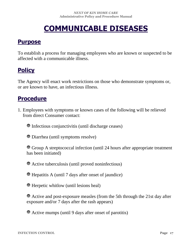## **COMMUNICABLE DISEASES**

#### **Purpose**

To establish a process for managing employees who are known or suspected to be affected with a communicable illness.

## **Policy**

The Agency will enact work restrictions on those who demonstrate symptoms or, or are known to have, an infectious illness.

### **Procedure**

1. Employees with symptoms or known cases of the following will be relieved from direct Consumer contact:

Infectious conjunctivitis (until discharge ceases)

Diarrhea (until symptoms resolve)

Group A streptococcal infection (until 24 hours after appropriate treatment has been initiated)

Active tuberculosis (until proved noninfectious)

Hepatitis A (until 7 days after onset of jaundice)

Herpetic whitlow (until lesions heal)

Active and post-exposure measles (from the 5th through the 21st day after exposure and/or 7 days after the rash appears)

Active mumps (until 9 days after onset of parotitis)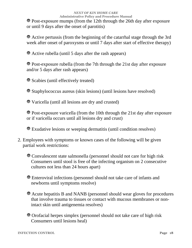Post-exposure mumps (from the 12th through the 26th day after exposure or until 9 days after the onset of parotitis)

Active pertussis (from the beginning of the catarrhal stage through the 3rd week after onset of paroxysms or until 7 days after start of effective therapy)

Active rubella (until 5 days after the rash appears)

Post-exposure rubella (from the 7th through the 21st day after exposure and/or 5 days after rash appears)

Scabies (until effectively treated)

Staphylococcus aureus (skin lesions) (until lesions have resolved)

Varicella (until all lesions are dry and crusted)

Post-exposure varicella (from the 10th through the 21st day after exposure or if varicella occurs until all lesions dry and crust)

Exudative lesions or weeping dermatitis (until condition resolves)

2. Employees with symptoms or known cases of the following will be given partial work restrictions:

Convalescent state salmonella (personnel should not care for high risk Consumers until stool is free of the infecting organism on 2 consecutive cultures not less than 24 hours apart)

Enteroviral infections (personnel should not take care of infants and newborns until symptoms resolve)

Acute hepatitis B and NANB (personnel should wear gloves for procedures that involve trauma to tissues or contact with mucous membranes or nonintact skin until antigenemia resolves)

Orofacial herpes simplex (personnel should not take care of high risk Consumers until lesions heal)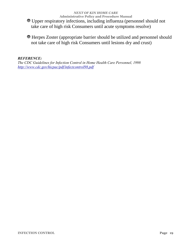*NEXT OF KIN HOME CARE* **Administrative Policy and Procedure Manual**  Upper respiratory infections, including influenza (personnel should not take care of high risk Consumers until acute symptoms resolve)

Herpes Zoster (appropriate barrier should be utilized and personnel should not take care of high risk Consumers until lesions dry and crust)

#### *REFERENCE:*

*The CDC Guidelines for Infection Control in Home Health Care Personnel, 1998 <http://www.cdc.gov/hicpac/pdf/infectcontrol98.pdf>*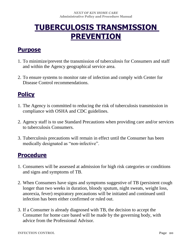## **TUBERCULOSIS TRANSMISSION PREVENTION**

### **Purpose**

- 1. To minimize/prevent the transmission of tuberculosis for Consumers and staff and within the Agency geographical service area.
- 2. To ensure systems to monitor rate of infection and comply with Center for Disease Control recommendations.

## **Policy**

- 1. The Agency is committed to reducing the risk of tuberculosis transmission in compliance with OSHA and CDC guidelines.
- 2. Agency staff is to use Standard Precautions when providing care and/or services to tuberculosis Consumers.
- 3. Tuberculosis precautions will remain in effect until the Consumer has been medically designated as "non-infective".

## **Procedure**

- 1. Consumers will be assessed at admission for high risk categories or conditions and signs and symptoms of TB.
- 2. When Consumers have signs and symptoms suggestive of TB (persistent cough longer than two weeks in duration, bloody sputum, night sweats, weight loss, anorexia, fever) respiratory precautions will be initiated and continued until infection has been either confirmed or ruled out.
- 3. If a Consumer is already diagnosed with TB, the decision to accept the Consumer for home care based will be made by the governing body, with advice from the Professional Advisor.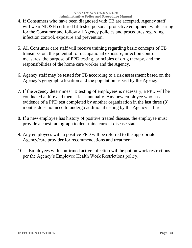- 4. If Consumers who have been diagnosed with TB are accepted, Agency staff will wear NIOSH certified fit-tested personal protective equipment while caring for the Consumer and follow all Agency policies and procedures regarding infection control, exposure and prevention.
- 5. All Consumer care staff will receive training regarding basic concepts of TB transmission, the potential for occupational exposure, infection control measures, the purpose of PPD testing, principles of drug therapy, and the responsibilities of the home care worker and the Agency.
- 6. Agency staff may be tested for TB according to a risk assessment based on the Agency's geographic location and the population served by the Agency.
- 7. If the Agency determines TB testing of employees is necessary, a PPD will be conducted at hire and then at least annually. Any new employee who has evidence of a PPD test completed by another organization in the last three (3) months does not need to undergo additional testing by the Agency at hire.
- 8. If a new employee has history of positive treated disease, the employee must provide a chest radiograph to determine current disease state.
- 9. Any employees with a positive PPD will be referred to the appropriate Agency/care provider for recommendations and treatment.
- 10. Employees with confirmed active infection will be put on work restrictions per the Agency's Employee Health Work Restrictions policy.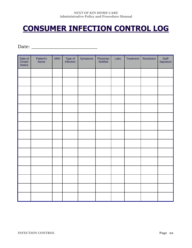## **CONSUMER INFECTION CONTROL LOG**

Date: \_\_\_\_\_\_\_\_\_\_\_\_\_\_\_\_\_\_\_\_\_\_\_\_\_\_\_\_

| Date of<br>Onset/<br>Notice | Patient's<br>Name | MR# | Type of<br>Infection | Symptoms | Physician<br>Notified | Labs | Treatment | Resolution | Staff<br>Signature |
|-----------------------------|-------------------|-----|----------------------|----------|-----------------------|------|-----------|------------|--------------------|
|                             |                   |     |                      |          |                       |      |           |            |                    |
|                             |                   |     |                      |          |                       |      |           |            |                    |
|                             |                   |     |                      |          |                       |      |           |            |                    |
|                             |                   |     |                      |          |                       |      |           |            |                    |
|                             |                   |     |                      |          |                       |      |           |            |                    |
|                             |                   |     |                      |          |                       |      |           |            |                    |
|                             |                   |     |                      |          |                       |      |           |            |                    |
|                             |                   |     |                      |          |                       |      |           |            |                    |
|                             |                   |     |                      |          |                       |      |           |            |                    |
|                             |                   |     |                      |          |                       |      |           |            |                    |
|                             |                   |     |                      |          |                       |      |           |            |                    |
|                             |                   |     |                      |          |                       |      |           |            |                    |
|                             |                   |     |                      |          |                       |      |           |            |                    |
|                             |                   |     |                      |          |                       |      |           |            |                    |
|                             |                   |     |                      |          |                       |      |           |            |                    |